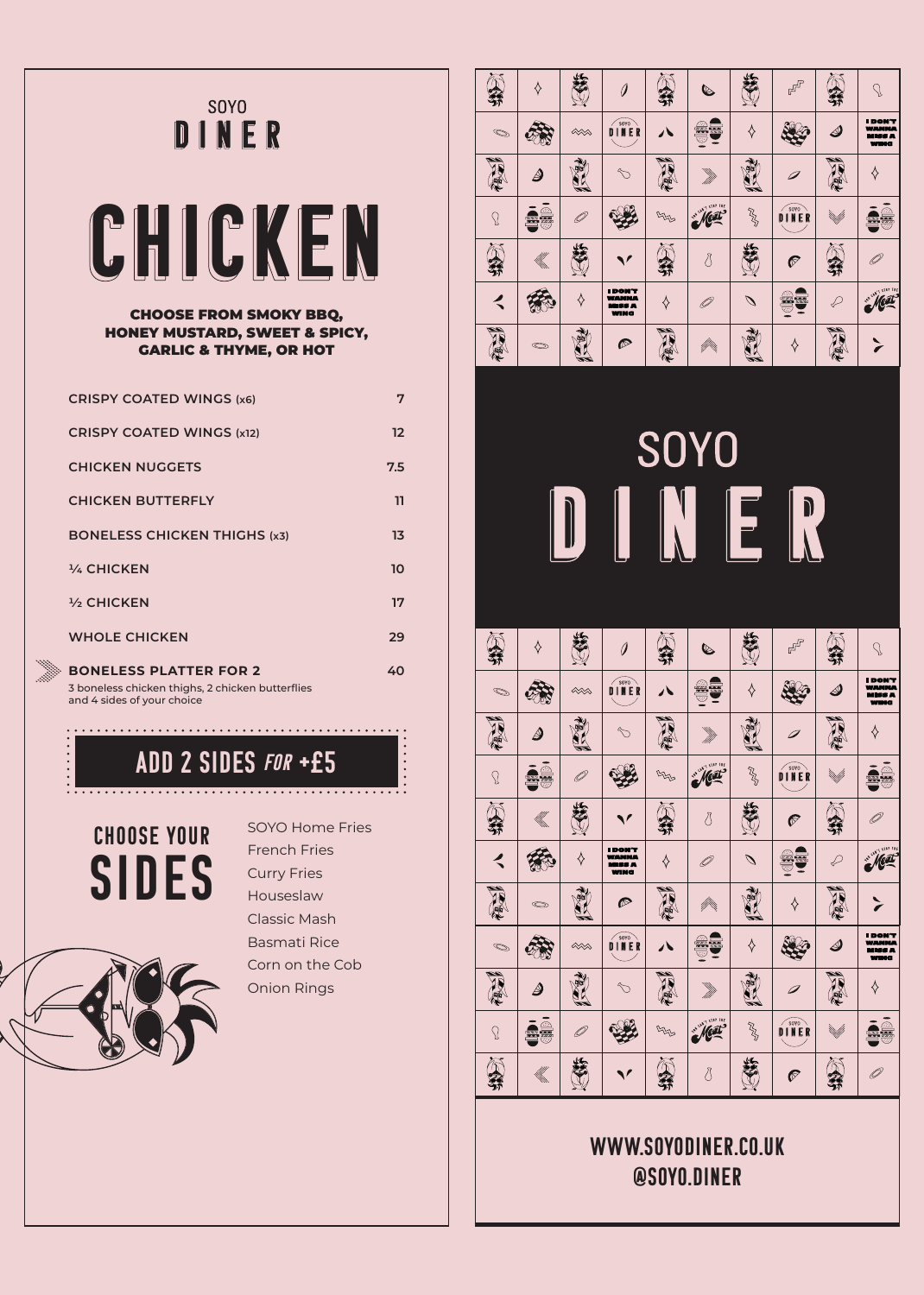## **SOYO** DINER



### CHOOSE FROM SMOKY BBQ, HONEY MUSTARD, SWEET & SPICY, GARLIC & THYME, OR HOT

| <b>CRISPY COATED WINGS (x6)</b>                                                                                 | 7                 |
|-----------------------------------------------------------------------------------------------------------------|-------------------|
| <b>CRISPY COATED WINGS (x12)</b>                                                                                | $12 \overline{ }$ |
| <b>CHICKEN NUGGETS</b>                                                                                          | 7.5               |
| <b>CHICKEN BUTTERFLY</b>                                                                                        | 11                |
| <b>BONELESS CHICKEN THIGHS (x3)</b>                                                                             | 13                |
| 1/4 CHICKEN                                                                                                     | 10                |
| <b>1/3 CHICKEN</b>                                                                                              | 17                |
| <b>WHOLE CHICKEN</b>                                                                                            | 29                |
| <b>BONELESS PLATTER FOR 2</b><br>3 boneless chicken thighs, 2 chicken butterflies<br>and 4 sides of your choice | 40                |

add 2 sides for +£5

. . . . . . . . . . . . . . .

SIDES CHOOSE YOUR



SOYO Home Fries French Fries Curry Fries Houseslaw Classic Mash Basmati Rice Corn on the Cob Onion Rings

. . . . . . . . . . . . . . . . .



# **SOYO** INER

| 昴                    | ♦             | ≤                                           | 0                                                              | $\mathfrak{z}$ | $\mathbb{Q}$             | علا           | $F_{\rm D}$    |                                   | $\mathcal{S}$                                           |
|----------------------|---------------|---------------------------------------------|----------------------------------------------------------------|----------------|--------------------------|---------------|----------------|-----------------------------------|---------------------------------------------------------|
| $\bigcirc$           |               | $\infty$                                    | D I N E R                                                      |                | $\overline{\phantom{a}}$ | ♦             |                | $\mathcal{\mathcal{\mathcal{Q}}}$ | <b>I DON'T</b><br>WANNA<br><b>MISS A</b><br><b>WING</b> |
| ARTIC                | $\mathscr{Q}$ |                                             |                                                                | EEL            |                          | 霜             |                | <b>AND</b>                        | ♦                                                       |
| $\Omega$             | ie            |                                             |                                                                |                | Next                     | RA            | DINER          | <sup>i</sup> tudli                | ie<br>J                                                 |
| J.                   | €             | علا                                         |                                                                |                | 8                        | Š             | $\overline{C}$ | ফ                                 |                                                         |
| $\blacktriangleleft$ |               |                                             | <b>I DON'T</b><br><b>WANNA</b><br><b>MISS A</b><br><b>WING</b> | ♦              |                          | $\mathscr{D}$ | œ<br>S.        | $\varphi$                         | Neat                                                    |
| ART.                 |               | DO                                          | $\mathcal{P}$                                                  | NATION         | ffin,                    | 阌             | ♦              | <b>ABA</b>                        |                                                         |
| $\bigcirc$           |               | $\lll$                                      | D I N E R                                                      |                |                          | ♦             |                | $\vartriangleleft$                | <b>I DON'T</b><br>WANNA<br><b>MISS A</b><br><b>WING</b> |
| AR (                 | $\varDelta$   | $\begin{pmatrix} 1 \\ 0 \\ 0 \end{pmatrix}$ |                                                                | 信气             |                          | 钟             |                | <b>AND</b>                        | ♦                                                       |
| $\Omega$             |               |                                             |                                                                |                | Neat                     | RA            | DINER          | <sup>r</sup> tm/ff                | ie<br>F                                                 |
| 芬                    | N.            |                                             |                                                                |                | 8                        |               | 商              | 21                                |                                                         |

## www.soyodiner.co.uk @soyo.diner